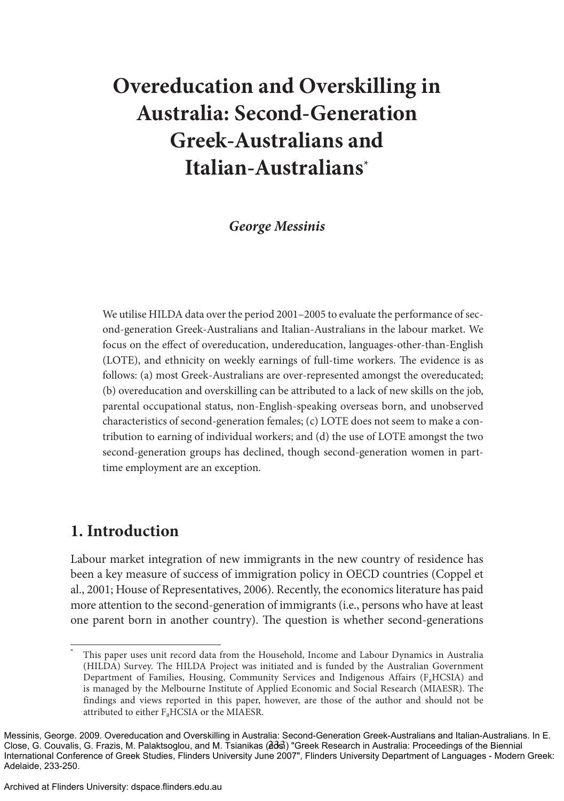# **Overeducation and Overskilling in Australia: Second-Generation Greek-Australians and Italian-Australians**\*

# *George Messinis*

We utilise HILDA data over the period 2001–2005 to evaluate the performance of second-generation Greek-Australians and Italian-Australians in the labour market. We focus on the effect of overeducation, undereducation, languages-other-than-English (LOTE), and ethnicity on weekly earnings of full-time workers. The evidence is as follows: (a) most Greek-Australians are over-represented amongst the overeducated; (b) overeducation and overskilling can be attributed to a lack of new skills on the job, parental occupational status, non-English-speaking overseas born, and unobserved characteristics of second-generation females; (c) LOTE does not seem to make a contribution to earning of individual workers; and (d) the use of LOTE amongst the two second-generation groups has declined, though second-generation women in parttime employment are an exception.

# **1. Introduction**

Labour market integration of new immigrants in the new country of residence has been a key measure of success of immigration policy in OECD countries (Coppel et al., 2001; House of Representatives, 2006). Recently, the economics literature has paid more attention to the second-generation of immigrants (i.e., persons who have at least one parent born in another country). The question is whether second-generations

<sup>\*</sup> This paper uses unit record data from the Household, Income and Labour Dynamics in Australia (HILDA) Survey. The HILDA Project was initiated and is funded by the Australian Government Department of Families, Housing, Community Services and Indigenous Affairs (F<sub>a</sub>HCSIA) and is managed by the Melbourne Institute of Applied Economic and Social Research (MIAESR). The findings and views reported in this paper, however, are those of the author and should not be attributed to either F<sub>a</sub>HCSIA or the MIAESR.

Close, G. Couvalis, G. Frazis, M. Palaktsoglou, and M. Tsianikas (eds.) "Greek Research in Australia: Proceedings of the Biennial Messinis, George. 2009. Overeducation and Overskilling in Australia: Second-Generation Greek-Australians and Italian-Australians. In E. International Conference of Greek Studies, Flinders University June 2007", Flinders University Department of Languages - Modern Greek: Adelaide, 233-250.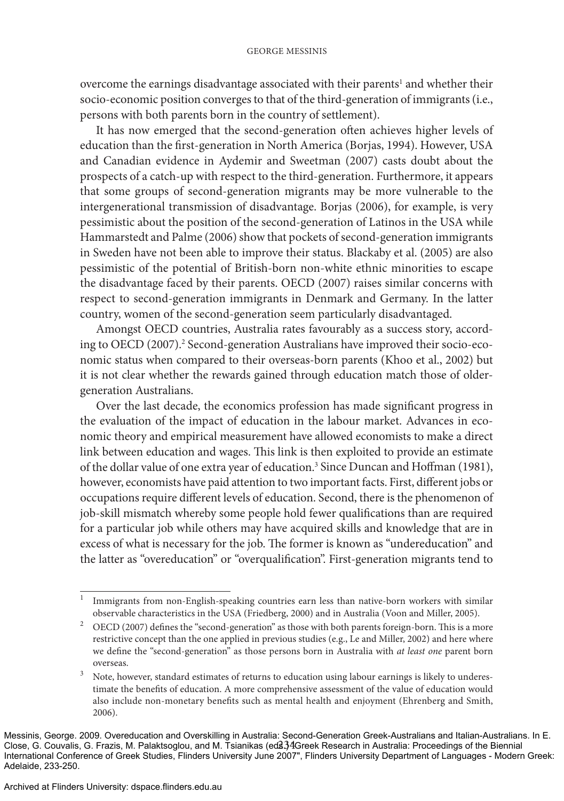overcome the earnings disadvantage associated with their parents<sup>1</sup> and whether their socio-economic position converges to that of the third-generation of immigrants (i.e., persons with both parents born in the country of settlement).

It has now emerged that the second-generation often achieves higher levels of education than the first-generation in North America (Borjas, 1994). However, USA and Canadian evidence in Aydemir and Sweetman (2007) casts doubt about the prospects of a catch-up with respect to the third-generation. Furthermore, it appears that some groups of second-generation migrants may be more vulnerable to the intergenerational transmission of disadvantage. Borjas (2006), for example, is very pessimistic about the position of the second-generation of Latinos in the USA while Hammarstedt and Palme (2006) show that pockets of second-generation immigrants in Sweden have not been able to improve their status. Blackaby et al. (2005) are also pessimistic of the potential of British-born non-white ethnic minorities to escape the disadvantage faced by their parents. OECD (2007) raises similar concerns with respect to second-generation immigrants in Denmark and Germany. In the latter country, women of the second-generation seem particularly disadvantaged.

Amongst OECD countries, Australia rates favourably as a success story, accord ing to OECD (2007).<sup>2</sup> Second-generation Australians have improved their socio-economic status when compared to their overseas-born parents (Khoo et al., 2002) but it is not clear whether the rewards gained through education match those of oldergeneration Australians.

Over the last decade, the economics profession has made significant progress in the evaluation of the impact of education in the labour market. Advances in economic theory and empirical measurement have allowed economists to make a direct link between education and wages. This link is then exploited to provide an estimate of the dollar value of one extra year of education.<sup>3</sup> Since Duncan and Hoffman (1981), however, economists have paid attention to two important facts. First, different jobs or occupations require different levels of education. Second, there is the phenomenon of job-skill mismatch whereby some people hold fewer qualifications than are required for a particular job while others may have acquired skills and knowledge that are in excess of what is necessary for the job. The former is known as "undereducation" and the latter as "overeducation" or "overqualification". First-generation migrants tend to

<sup>1</sup> Immigrants from non-English-speaking countries earn less than native-born workers with similar observable characteristics in the USA (Friedberg, 2000) and in Australia (Voon and Miller, 2005).

 $2^{2}$  OECD (2007) defines the "second-generation" as those with both parents foreign-born. This is a more restrictive concept than the one applied in previous studies (e.g., Le and Miller, 2002) and here where we define the "second-generation" as those persons born in Australia with *at least one* parent born overseas.

<sup>&</sup>lt;sup>3</sup> Note, however, standard estimates of returns to education using labour earnings is likely to underestimate the benefits of education. A more comprehensive assessment of the value of education would also include non-monetary benefits such as mental health and enjoyment (Ehrenberg and Smith, 2006).

Close, G. Couvalis, G. Frazis, M. Palaktsoglou, and M. Tsianikas (ed&3)4Greek Research in Australia: Proceedings of the Biennial Messinis, George. 2009. Overeducation and Overskilling in Australia: Second-Generation Greek-Australians and Italian-Australians. In E. International Conference of Greek Studies, Flinders University June 2007", Flinders University Department of Languages - Modern Greek: Adelaide, 233-250.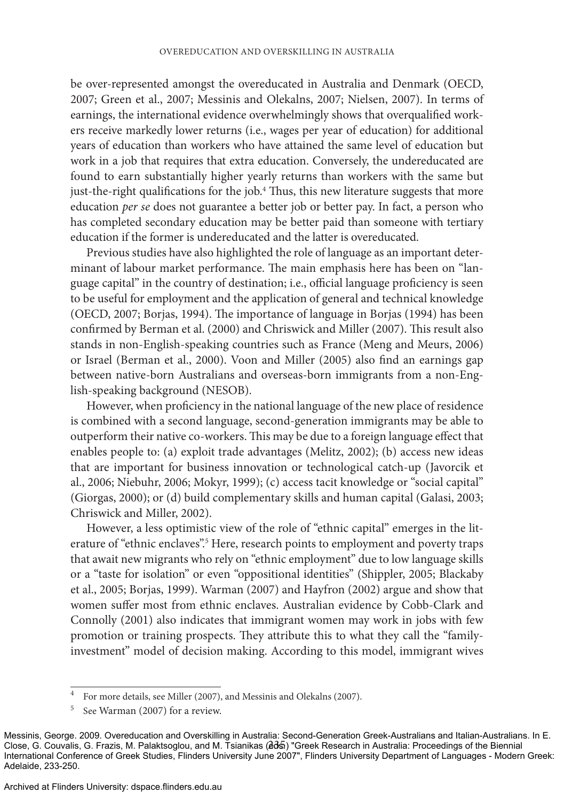be over-represented amongst the overeducated in Australia and Denmark (OECD, 2007; Green et al., 2007; Messinis and Olekalns, 2007; Nielsen, 2007). In terms of earnings, the international evidence overwhelmingly shows that overqualified workers receive markedly lower returns (i.e., wages per year of education) for additional years of education than workers who have attained the same level of education but work in a job that requires that extra education. Conversely, the undereducated are found to earn substantially higher yearly returns than workers with the same but just-the-right qualifications for the job.4 Thus, this new literature suggests that more education *per se* does not guarantee a better job or better pay. In fact, a person who has completed secondary education may be better paid than someone with tertiary education if the former is undereducated and the latter is overeducated.

Previous studies have also highlighted the role of language as an important determinant of labour market performance. The main emphasis here has been on "language capital" in the country of destination; i.e., official language proficiency is seen to be useful for employment and the application of general and technical knowledge (OECD, 2007; Borjas, 1994). The importance of language in Borjas (1994) has been confirmed by Berman et al. (2000) and Chriswick and Miller (2007). This result also stands in non-English-speaking countries such as France (Meng and Meurs, 2006) or Israel (Berman et al., 2000). Voon and Miller (2005) also find an earnings gap between native-born Australians and overseas-born immigrants from a non-English-speaking background (NESOB).

However, when proficiency in the national language of the new place of residence is combined with a second language, second-generation immigrants may be able to outperform their native co-workers. This may be due to a foreign language effect that enables people to: (a) exploit trade advantages (Melitz, 2002); (b) access new ideas that are important for business innovation or technological catch-up (Javorcik et al., 2006; Niebuhr, 2006; Mokyr, 1999); (c) access tacit knowledge or "social capital" (Giorgas, 2000); or (d) build complementary skills and human capital (Galasi, 2003; Chriswick and Miller, 2002).

However, a less optimistic view of the role of "ethnic capital" emerges in the literature of "ethnic enclaves".<sup>5</sup> Here, research points to employment and poverty traps that await new migrants who rely on "ethnic employment" due to low language skills or a "taste for isolation" or even "oppositional identities" (Shippler, 2005; Blackaby et al., 2005; Borjas, 1999). Warman (2007) and Hayfron (2002) argue and show that women suffer most from ethnic enclaves. Australian evidence by Cobb-Clark and Connolly (2001) also indicates that immigrant women may work in jobs with few promotion or training prospects. They attribute this to what they call the "family investment" model of decision making. According to this model, immigrant wives

<sup>4</sup> For more details, see Miller (2007), and Messinis and Olekalns (2007).

<sup>5</sup> See Warman (2007) for a review.

Close, G. Couvalis, G. Frazis, M. Palaktsoglou, and M. Tsianikas (eds.) "Greek Research in Australia: Proceedings of the Biennial Messinis, George. 2009. Overeducation and Overskilling in Australia: Second-Generation Greek-Australians and Italian-Australians. In E. International Conference of Greek Studies, Flinders University June 2007", Flinders University Department of Languages - Modern Greek: Adelaide, 233-250.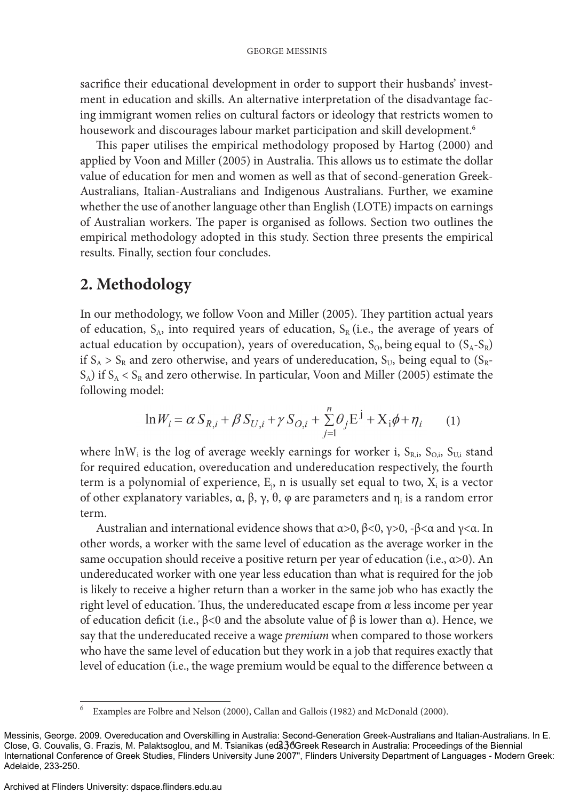sacrifice their educational development in order to support their husbands' investment in education and skills. An alternative interpretation of the disadvantage fac ing immigrant women relies on cultural factors or ideology that restricts women to housework and discourages labour market participation and skill development.<sup>6</sup>

This paper utilises the empirical methodology proposed by Hartog (2000) and applied by Voon and Miller (2005) in Australia. This allows us to estimate the dollar value of education for men and women as well as that of second-generation Greek-Australians, Italian-Australians and Indigenous Australians. Further, we examine whether the use of another language other than English (LOTE) impacts on earnings of Australian workers. The paper is organised as follows. Section two outlines the empirical methodology adopted in this study. Section three presents the empirical results. Finally, section four concludes.

# **2. Methodology**

In our methodology, we follow Voon and Miller (2005). They partition actual years of education,  $S_A$ , into required years of education,  $S_R$  (i.e., the average of years of actual education by occupation), years of overeducation,  $S_0$ , being equal to  $(S_A-S_R)$ if  $S_A > S_R$  and zero otherwise, and years of undereducation,  $S_U$ , being equal to  $(S_R - S_R)$  $S_A$ ) if  $S_A < S_R$  and zero otherwise. In particular, Voon and Miller (2005) estimate the following model:

$$
\ln W_i = \alpha S_{R,i} + \beta S_{U,i} + \gamma S_{O,i} + \sum_{j=1}^{n} \theta_j E^j + X_i \phi + \eta_i \tag{1}
$$

where  $ln W_i$  is the log of average weekly earnings for worker i,  $S_{R,i}$ ,  $S_{O,i}$ ,  $S_{U,i}$  stand for required education, overeducation and undereducation respectively, the fourth term is a polynomial of experience,  $E_i$ , n is usually set equal to two,  $X_i$  is a vector of other explanatory variables,  $\alpha$ ,  $\beta$ ,  $\gamma$ ,  $\theta$ ,  $\varphi$  are parameters and  $η$ <sub>i</sub> is a random error term.

Australian and international evidence shows that  $\alpha$  >0,  $\beta$  <0,  $\gamma$  >0,  $-\beta$  < α and  $\gamma$  < α. In other words, a worker with the same level of education as the average worker in the same occupation should receive a positive return per year of education (i.e., α>0). An undereducated worker with one year less education than what is required for the job is likely to receive a higher return than a worker in the same job who has exactly the right level of education. Thus, the undereducated escape from *α* less income per year of education deficit (i.e., β<0 and the absolute value of β is lower than α). Hence, we say that the undereducated receive a wage *premium* when compared to those workers who have the same level of education but they work in a job that requires exactly that level of education (i.e., the wage premium would be equal to the difference between α

<sup>6</sup> Examples are Folbre and Nelson (2000), Callan and Gallois (1982) and McDonald (2000).

Close, G. Couvalis, G. Frazis, M. Palaktsoglou, and M. Tsianikas (ed&3) Greek Research in Australia: Proceedings of the Biennial Messinis, George. 2009. Overeducation and Overskilling in Australia: Second-Generation Greek-Australians and Italian-Australians. In E. International Conference of Greek Studies, Flinders University June 2007", Flinders University Department of Languages - Modern Greek: Adelaide, 233-250.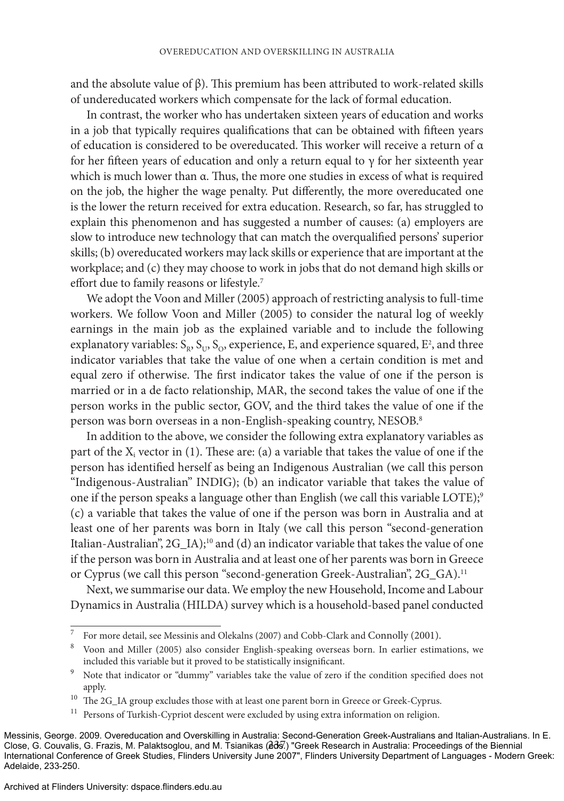and the absolute value of  $\beta$ ). This premium has been attributed to work-related skills of undereducated workers which compensate for the lack of formal education.

In contrast, the worker who has undertaken sixteen years of education and works in a job that typically requires qualifications that can be obtained with fifteen years of education is considered to be overeducated. This worker will receive a return of α for her fifteen years of education and only a return equal to γ for her sixteenth year which is much lower than α. Thus, the more one studies in excess of what is required on the job, the higher the wage penalty. Put differently, the more overeducated one is the lower the return received for extra education. Research, so far, has struggled to explain this phenomenon and has suggested a number of causes: (a) employers are slow to introduce new technology that can match the overqualified persons' superior skills; (b) overeducated workers may lack skills or experience that are important at the workplace; and (c) they may choose to work in jobs that do not demand high skills or effort due to family reasons or lifestyle.<sup>7</sup>

We adopt the Voon and Miller (2005) approach of restricting analysis to full-time workers. We follow Voon and Miller (2005) to consider the natural log of weekly earnings in the main job as the explained variable and to include the following explanatory variables:  $S_{R}$ ,  $S_{U}$ ,  $S_{O}$ , experience, E, and experience squared, E<sup>2</sup>, and three indicator variables that take the value of one when a certain condition is met and equal zero if otherwise. The first indicator takes the value of one if the person is married or in a de facto relationship, MAR, the second takes the value of one if the person works in the public sector, GOV, and the third takes the value of one if the person was born overseas in a non-English-speaking country, NESOB.8

In addition to the above, we consider the following extra explanatory variables as part of the  $X_i$  vector in (1). These are: (a) a variable that takes the value of one if the person has identified herself as being an Indigenous Australian (we call this person "Indigenous-Australian" INDIG); (b) an indicator variable that takes the value of one if the person speaks a language other than English (we call this variable LOTE);  $\!9$ (c) a variable that takes the value of one if the person was born in Australia and at least one of her parents was born in Italy (we call this person "second-generation Italian-Australian", 2G\_IA);<sup>10</sup> and (d) an indicator variable that takes the value of one if the person was born in Australia and at least one of her parents was born in Greece or Cyprus (we call this person "second-generation Greek-Australian", 2G\_GA).11

Next, we summarise our data. We employ the new Household, Income and Labour Dynamics in Australia (HILDA) survey which is a household-based panel conducted

For more detail, see Messinis and Olekalns (2007) and Cobb-Clark and Connolly (2001).

<sup>8</sup> Voon and Miller (2005) also consider English-speaking overseas born. In earlier estimations, we included this variable but it proved to be statistically insignificant.

<sup>&</sup>lt;sup>9</sup> Note that indicator or "dummy" variables take the value of zero if the condition specified does not apply.

 $^{10}\,$  The 2G\_IA group excludes those with at least one parent born in Greece or Greek-Cyprus.

 $^{11}\,$  Persons of Turkish-Cypriot descent were excluded by using extra information on religion.

Close, G. Couvalis, G. Frazis, M. Palaktsoglou, and M. Tsianikas (eds.) "Greek Research in Australia: Proceedings of the Biennial Messinis, George. 2009. Overeducation and Overskilling in Australia: Second-Generation Greek-Australians and Italian-Australians. In E. International Conference of Greek Studies, Flinders University June 2007", Flinders University Department of Languages - Modern Greek: Adelaide, 233-250.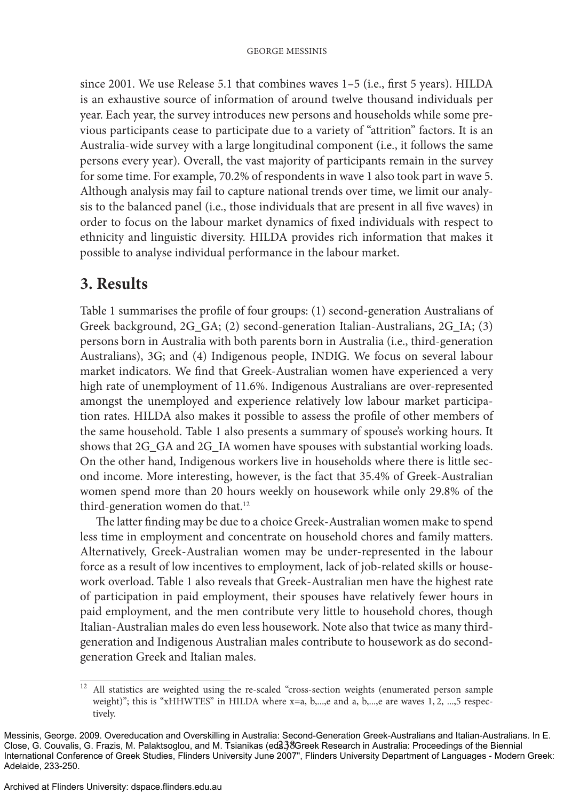since 2001. We use Release 5.1 that combines waves 1–5 (i.e., first 5 years). HILDA is an exhaustive source of information of around twelve thousand individuals per year. Each year, the survey introduces new persons and households while some previous participants cease to participate due to a variety of "attrition" factors. It is an Australia-wide survey with a large longitudinal component (i.e., it follows the same persons every year). Overall, the vast majority of participants remain in the survey for some time. For example, 70.2% of respondents in wave 1 also took part in wave 5. Although analysis may fail to capture national trends over time, we limit our analysis to the balanced panel (i.e., those individuals that are present in all five waves) in order to focus on the labour market dynamics of fixed individuals with respect to ethnicity and linguistic diversity. HILDA provides rich information that makes it possible to analyse individual performance in the labour market.

# **3. Results**

Table 1 summarises the profile of four groups: (1) second-generation Australians of Greek background, 2G\_GA; (2) second-generation Italian-Australians, 2G\_IA; (3) persons born in Australia with both parents born in Australia (i.e., third-generation Australians), 3G; and (4) Indigenous people, INDIG. We focus on several labour market indicators. We find that Greek-Australian women have experienced a very high rate of unemployment of 11.6%. Indigenous Australians are over-represented amongst the unemployed and experience relatively low labour market participation rates. HILDA also makes it possible to assess the profile of other members of the same household. Table 1 also presents a summary of spouse's working hours. It shows that 2G\_GA and 2G\_IA women have spouses with substantial working loads. On the other hand, Indigenous workers live in households where there is little second income. More interesting, however, is the fact that 35.4% of Greek-Australian women spend more than 20 hours weekly on housework while only 29.8% of the third-generation women do that.<sup>12</sup>

The latter finding may be due to a choice Greek-Australian women make to spend less time in employment and concentrate on household chores and family matters. Alternatively, Greek-Australian women may be under-represented in the labour force as a result of low incentives to employment, lack of job-related skills or housework overload. Table 1 also reveals that Greek-Australian men have the highest rate of participation in paid employment, their spouses have relatively fewer hours in paid employment, and the men contribute very little to household chores, though Italian-Australian males do even less housework. Note also that twice as many thirdgeneration and Indigenous Australian males contribute to housework as do secondgeneration Greek and Italian males.

<sup>12</sup> All statistics are weighted using the re-scaled "cross-section weights (enumerated person sample weight)"; this is "xHHWTES" in HILDA where  $x=a$ ,  $b,...,e$  and a,  $b,...,e$  are waves 1, 2, ...,5 respectively.

Close, G. Couvalis, G. Frazis, M. Palaktsoglou, and M. Tsianikas (ed&3)&Greek Research in Australia: Proceedings of the Biennial Messinis, George. 2009. Overeducation and Overskilling in Australia: Second-Generation Greek-Australians and Italian-Australians. In E. International Conference of Greek Studies, Flinders University June 2007", Flinders University Department of Languages - Modern Greek: Adelaide, 233-250.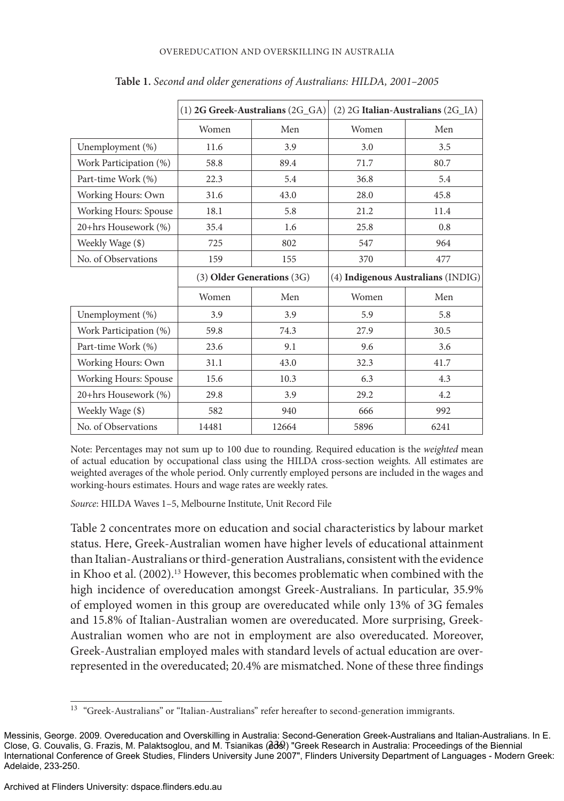#### Overeducation and Overskilling in Australia

|                        |                            | (1) 2G Greek-Australians (2G_GA) | (2) 2G Italian-Australians (2G_IA) |                                            |  |
|------------------------|----------------------------|----------------------------------|------------------------------------|--------------------------------------------|--|
|                        | Women                      | Men                              | Women                              | Men                                        |  |
| Unemployment (%)       | 11.6                       | 3.9                              | 3.0                                | 3.5                                        |  |
| Work Participation (%) | 58.8                       | 89.4                             | 71.7                               | 80.7                                       |  |
| Part-time Work (%)     | 22.3                       | 5.4                              | 36.8                               | 5.4                                        |  |
| Working Hours: Own     | 31.6                       | 43.0                             | 28.0                               | 45.8                                       |  |
| Working Hours: Spouse  | 18.1                       | 5.8                              | 21.2                               | 11.4                                       |  |
| 20+hrs Housework (%)   | 35.4                       | 1.6                              | 25.8                               | 0.8                                        |  |
| Weekly Wage (\$)       | 725                        | 802                              | 547                                | 964                                        |  |
| No. of Observations    | 159                        | 155                              | 370                                | 477                                        |  |
|                        | (3) Older Generations (3G) |                                  |                                    |                                            |  |
|                        |                            |                                  |                                    |                                            |  |
|                        | Women                      | Men                              | Women                              | Men                                        |  |
| Unemployment (%)       | 3.9                        | 3.9                              | 5.9                                | 5.8                                        |  |
| Work Participation (%) | 59.8                       | 74.3                             | 27.9                               | (4) Indigenous Australians (INDIG)<br>30.5 |  |
| Part-time Work (%)     | 23.6                       | 9.1                              | 9.6                                | 3.6                                        |  |
| Working Hours: Own     | 31.1                       | 43.0                             | 32.3                               | 41.7                                       |  |
| Working Hours: Spouse  | 15.6                       | 10.3                             | 6.3                                | 4.3                                        |  |
| 20+hrs Housework (%)   | 29.8                       | 3.9                              | 29.2                               | 4.2                                        |  |
| Weekly Wage (\$)       | 582                        | 940                              | 666                                | 992                                        |  |

**Table 1.** *Second and older generations of Australians: HILDA, 2001–2005*

Note: Percentages may not sum up to 100 due to rounding. Required education is the *weighted* mean of actual education by occupational class using the HILDA cross-section weights. All estimates are weighted averages of the whole period. Only currently employed persons are included in the wages and working-hours estimates. Hours and wage rates are weekly rates.

*Source*: HILDA Waves 1–5, Melbourne Institute, Unit Record File

Table 2 concentrates more on education and social characteristics by labour market status. Here, Greek-Australian women have higher levels of educational attainment than Italian-Australians or third-generation Australians, consistent with the evidence in Khoo et al. (2002).13 However, this becomes problematic when combined with the high incidence of overeducation amongst Greek-Australians. In particular, 35.9% of employed women in this group are overeducated while only 13% of 3G females and 15.8% of Italian-Australian women are overeducated. More surprising, Greek-Australian women who are not in employment are also overeducated. Moreover, Greek-Australian employed males with standard levels of actual education are overrepresented in the overeducated; 20.4% are mismatched. None of these three findings

 $^{13}\,$  "Greek-Australians" or "Italian-Australians" refer hereafter to second-generation immigrants.

Close, G. Couvalis, G. Frazis, M. Palaktsoglou, and M. Tsianikas (eds) "Greek Research in Australia: Proceedings of the Biennial Messinis, George. 2009. Overeducation and Overskilling in Australia: Second-Generation Greek-Australians and Italian-Australians. In E. International Conference of Greek Studies, Flinders University June 2007", Flinders University Department of Languages - Modern Greek: Adelaide, 233-250.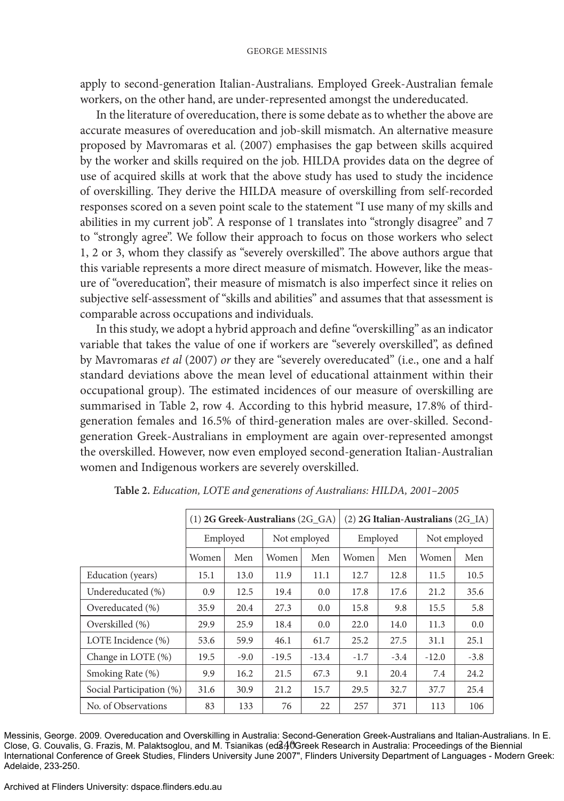apply to second-generation Italian-Australians. Employed Greek-Australian female workers, on the other hand, are under-represented amongst the undereducated.

In the literature of overeducation, there is some debate as to whether the above are accurate measures of overeducation and job-skill mismatch. An alternative measure proposed by Mavromaras et al. (2007) emphasises the gap between skills acquired by the worker and skills required on the job. HILDA provides data on the degree of use of acquired skills at work that the above study has used to study the incidence of overskilling. They derive the HILDA measure of overskilling from self-recorded responses scored on a seven point scale to the statement "I use many of my skills and abilities in my current job". A response of 1 translates into "strongly disagree" and 7 to "strongly agree". We follow their approach to focus on those workers who select 1, 2 or 3, whom they classify as "severely overskilled". The above authors argue that this variable represents a more direct measure of mismatch. However, like the measure of "overeducation", their measure of mismatch is also imperfect since it relies on subjective self-assessment of "skills and abilities" and assumes that that assessment is comparable across occupations and individuals.

In this study, we adopt a hybrid approach and define "overskilling" as an indicator variable that takes the value of one if workers are "severely overskilled", as defined by Mavromaras *et al* (2007) *or* they are "severely overeducated" (i.e., one and a half standard deviations above the mean level of educational attainment within their occupational group). The estimated incidences of our measure of overskilling are summarised in Table 2, row 4. According to this hybrid measure, 17.8% of thirdgeneration females and 16.5% of third-generation males are over-skilled. Secondgeneration Greek-Australians in employment are again over-represented amongst the overskilled. However, now even employed second-generation Italian-Australian women and Indigenous workers are severely overskilled.

|                          | $(1)$ 2G Greek-Australians (2G GA) |        |              | $(2)$ 2G Italian-Australians $(2G$ IA) |          |        |              |        |
|--------------------------|------------------------------------|--------|--------------|----------------------------------------|----------|--------|--------------|--------|
|                          | Employed                           |        | Not employed |                                        | Employed |        | Not employed |        |
|                          | Women                              | Men    | Women        | Men                                    | Women    | Men    | Women        | Men    |
| Education (years)        | 15.1                               | 13.0   | 11.9         | 11.1                                   | 12.7     | 12.8   | 11.5         | 10.5   |
| Undereducated (%)        | 0.9                                | 12.5   | 19.4         | 0.0                                    | 17.8     | 17.6   | 21.2         | 35.6   |
| Overeducated (%)         | 35.9                               | 20.4   | 27.3         | 0.0                                    | 15.8     | 9.8    | 15.5         | 5.8    |
| Overskilled (%)          | 29.9                               | 25.9   | 18.4         | 0.0                                    | 22.0     | 14.0   | 11.3         | 0.0    |
| LOTE Incidence (%)       | 53.6                               | 59.9   | 46.1         | 61.7                                   | 25.2     | 27.5   | 31.1         | 25.1   |
| Change in LOTE (%)       | 19.5                               | $-9.0$ | $-19.5$      | $-13.4$                                | $-1.7$   | $-3.4$ | $-12.0$      | $-3.8$ |
| Smoking Rate (%)         | 9.9                                | 16.2   | 21.5         | 67.3                                   | 9.1      | 20.4   | 7.4          | 24.2   |
| Social Participation (%) | 31.6                               | 30.9   | 21.2         | 15.7                                   | 29.5     | 32.7   | 37.7         | 25.4   |
| No. of Observations      | 83                                 | 133    | 76           | 22                                     | 257      | 371    | 113          | 106    |

**Table 2.** *Education, LOTE and generations of Australians: HILDA, 2001–2005*

Close, G. Couvalis, G. Frazis, M. Palaktsoglou, and M. Tsianikas (ed & 40Greek Research in Australia: Proceedings of the Biennial Messinis, George. 2009. Overeducation and Overskilling in Australia: Second-Generation Greek-Australians and Italian-Australians. In E. International Conference of Greek Studies, Flinders University June 2007", Flinders University Department of Languages - Modern Greek: Adelaide, 233-250.

Archived at Flinders University: dspace.flinders.edu.au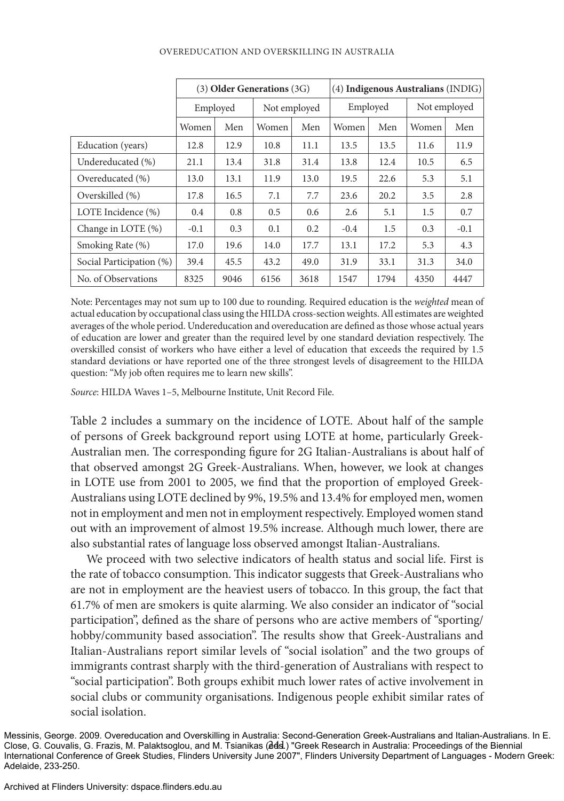|                          | $(3)$ Older Generations $(3)$ |      |              |      | $(4)$ Indigenous Australians (INDIG) |      |              |        |
|--------------------------|-------------------------------|------|--------------|------|--------------------------------------|------|--------------|--------|
|                          | Employed                      |      | Not employed |      | Employed                             |      | Not employed |        |
|                          | Women                         | Men  | Women        | Men  | Women                                | Men  | Women        | Men    |
| Education (years)        | 12.8                          | 12.9 | 10.8         | 11.1 | 13.5                                 | 13.5 | 11.6         | 11.9   |
| Undereducated (%)        | 21.1                          | 13.4 | 31.8         | 31.4 | 13.8                                 | 12.4 | 10.5         | 6.5    |
| Overeducated (%)         | 13.0                          | 13.1 | 11.9         | 13.0 | 19.5                                 | 22.6 | 5.3          | 5.1    |
| Overskilled (%)          | 17.8                          | 16.5 | 7.1          | 7.7  | 23.6                                 | 20.2 | 3.5          | 2.8    |
| LOTE Incidence (%)       | 0.4                           | 0.8  | 0.5          | 0.6  | 2.6                                  | 5.1  | 1.5          | 0.7    |
| Change in LOTE (%)       | $-0.1$                        | 0.3  | 0.1          | 0.2  | $-0.4$                               | 1.5  | 0.3          | $-0.1$ |
| Smoking Rate (%)         | 17.0                          | 19.6 | 14.0         | 17.7 | 13.1                                 | 17.2 | 5.3          | 4.3    |
| Social Participation (%) | 39.4                          | 45.5 | 43.2         | 49.0 | 31.9                                 | 33.1 | 31.3         | 34.0   |
| No. of Observations      | 8325                          | 9046 | 6156         | 3618 | 1547                                 | 1794 | 4350         | 4447   |

#### Overeducation and Overskilling in Australia

Note: Percentages may not sum up to 100 due to rounding. Required education is the *weighted* mean of actual education by occupational class using the HILDA cross-section weights. All estimates are weighted averages of the whole period. Undereducation and overeducation are defined as those whose actual years of education are lower and greater than the required level by one standard deviation respectively. The overskilled consist of workers who have either a level of education that exceeds the required by 1.5 standard deviations or have reported one of the three strongest levels of disagreement to the HILDA question: "My job often requires me to learn new skills".

*Source*: HILDA Waves 1–5, Melbourne Institute, Unit Record File.

Table 2 includes a summary on the incidence of LOTE. About half of the sample of persons of Greek background report using LOTE at home, particularly Greek-Australian men. The corresponding figure for 2G Italian-Australians is about half of that observed amongst 2G Greek-Australians. When, however, we look at changes in LOTE use from 2001 to 2005, we find that the proportion of employed Greek-Australians using LOTE declined by 9%, 19.5% and 13.4% for employed men, women not in employment and men not in employment respectively. Employed women stand out with an improvement of almost 19.5% increase. Although much lower, there are also substantial rates of language loss observed amongst Italian-Australians.

We proceed with two selective indicators of health status and social life. First is the rate of tobacco consumption. This indicator suggests that Greek-Australians who are not in employment are the heaviest users of tobacco. In this group, the fact that 61.7% of men are smokers is quite alarming. We also consider an indicator of "social participation", defined as the share of persons who are active members of "sporting/ hobby/community based association". The results show that Greek-Australians and Italian-Australians report similar levels of "social isolation" and the two groups of immigrants contrast sharply with the third-generation of Australians with respect to "social participation". Both groups exhibit much lower rates of active involvement in social clubs or community organisations. Indigenous people exhibit similar rates of social isolation.

Close, G. Couvalis, G. Frazis, M. Palaktsoglou, and M. Tsianikas (eds) "Greek Research in Australia: Proceedings of the Biennial Messinis, George. 2009. Overeducation and Overskilling in Australia: Second-Generation Greek-Australians and Italian-Australians. In E. International Conference of Greek Studies, Flinders University June 2007", Flinders University Department of Languages - Modern Greek: Adelaide, 233-250.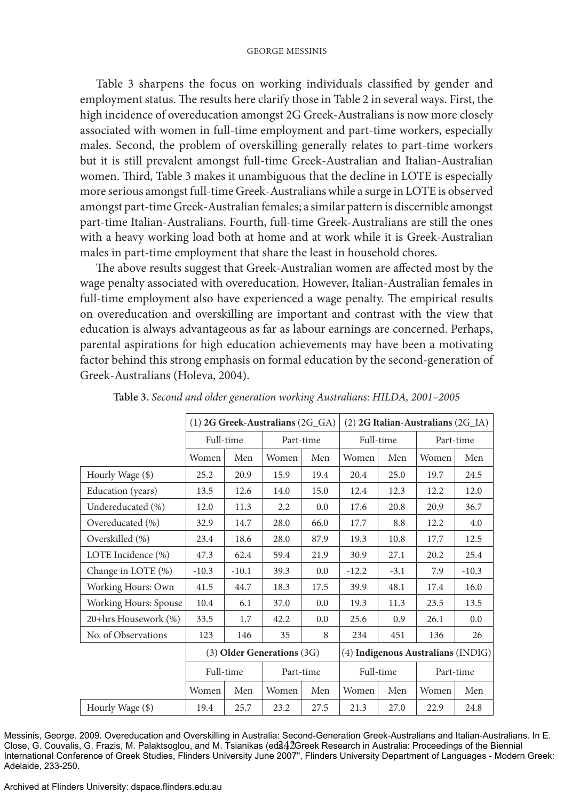Table 3 sharpens the focus on working individuals classified by gender and employment status. The results here clarify those in Table 2 in several ways. First, the high incidence of overeducation amongst 2G Greek-Australians is now more closely associated with women in full-time employment and part-time workers, especially males. Second, the problem of overskilling generally relates to part-time workers but it is still prevalent amongst full-time Greek-Australian and Italian-Australian women. Third, Table 3 makes it unambiguous that the decline in LOTE is especially more serious amongst full-time Greek-Australians while a surge in LOTE is observed amongst part-time Greek-Australian females; a similar pattern is discernible amongst part-time Italian-Australians. Fourth, full-time Greek-Australians are still the ones with a heavy working load both at home and at work while it is Greek-Australian males in part-time employment that share the least in household chores.

The above results suggest that Greek-Australian women are affected most by the wage penalty associated with overeducation. However, Italian-Australian females in full-time employment also have experienced a wage penalty. The empirical results on overeducation and overskilling are important and contrast with the view that education is always advantageous as far as labour earnings are concerned. Perhaps, parental aspirations for high education achievements may have been a motivating factor behind this strong emphasis on formal education by the second-generation of Greek-Australians (Holeva, 2004).

|                       | $(1)$ 2G Greek-Australians (2G GA) |         |           |                                    | $(2)$ 2G Italian-Australians $(2G1A)$ |        |           |         |
|-----------------------|------------------------------------|---------|-----------|------------------------------------|---------------------------------------|--------|-----------|---------|
|                       | Full-time                          |         | Part-time |                                    | Full-time                             |        | Part-time |         |
|                       | Women                              | Men     | Women     | Men                                | Women                                 | Men    | Women     | Men     |
| Hourly Wage (\$)      | 25.2                               | 20.9    | 15.9      | 19.4                               | 20.4                                  | 25.0   | 19.7      | 24.5    |
| Education (years)     | 13.5                               | 12.6    | 14.0      | 15.0                               | 12.4                                  | 12.3   | 12.2      | 12.0    |
| Undereducated (%)     | 12.0                               | 11.3    | 2.2       | 0.0                                | 17.6                                  | 20.8   | 20.9      | 36.7    |
| Overeducated (%)      | 32.9                               | 14.7    | 28.0      | 66.0                               | 17.7                                  | 8.8    | 12.2      | 4.0     |
| Overskilled (%)       | 23.4                               | 18.6    | 28.0      | 87.9                               | 19.3                                  | 10.8   | 17.7      | 12.5    |
| LOTE Incidence (%)    | 47.3                               | 62.4    | 59.4      | 21.9                               | 30.9                                  | 27.1   | 20.2      | 25.4    |
| Change in LOTE (%)    | $-10.3$                            | $-10.1$ | 39.3      | 0.0                                | $-12.2$                               | $-3.1$ | 7.9       | $-10.3$ |
| Working Hours: Own    | 41.5                               | 44.7    | 18.3      | 17.5                               | 39.9                                  | 48.1   | 17.4      | 16.0    |
| Working Hours: Spouse | 10.4                               | 6.1     | 37.0      | 0.0                                | 19.3                                  | 11.3   | 23.5      | 13.5    |
| 20+hrs Housework (%)  | 33.5                               | 1.7     | 42.2      | 0.0                                | 25.6                                  | 0.9    | 26.1      | 0.0     |
| No. of Observations   | 123                                | 146     | 35        | 8                                  | 234                                   | 451    | 136       | 26      |
|                       | (3) Older Generations (3G)         |         |           | (4) Indigenous Australians (INDIG) |                                       |        |           |         |
|                       | Full-time                          |         | Part-time |                                    | Full-time                             |        | Part-time |         |
|                       | Women                              | Men     | Women     | Men                                | Women                                 | Men    | Women     | Men     |
| Hourly Wage (\$)      | 19.4                               | 25.7    | 23.2      | 27.5                               | 21.3                                  | 27.0   | 22.9      | 24.8    |

**Table 3.** *Second and older generation working Australians: HILDA, 2001–2005*

Close, G. Couvalis, G. Frazis, M. Palaktsoglou, and M. Tsianikas (ed & 12Greek Research in Australia: Proceedings of the Biennial Messinis, George. 2009. Overeducation and Overskilling in Australia: Second-Generation Greek-Australians and Italian-Australians. In E. International Conference of Greek Studies, Flinders University June 2007", Flinders University Department of Languages - Modern Greek: Adelaide, 233-250.

Archived at Flinders University: dspace.flinders.edu.au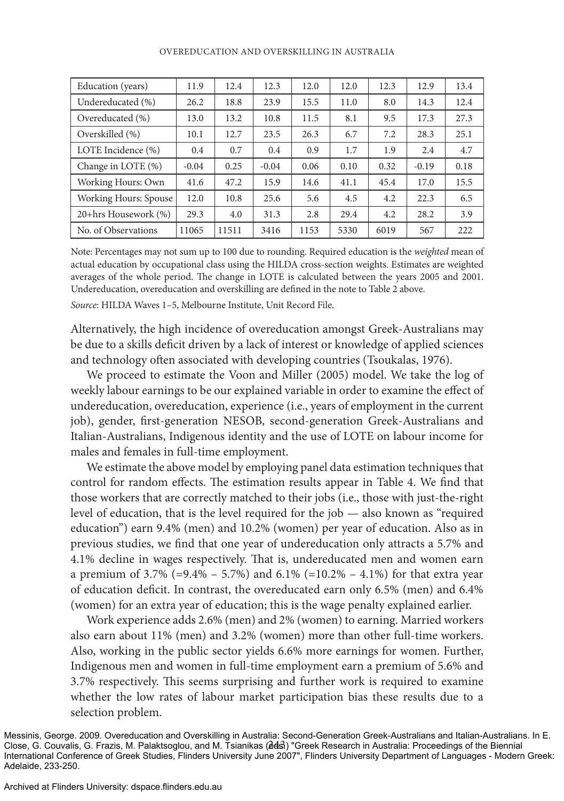#### Overeducation and Overskilling in Australia

| Education (years)     | 11.9    | 12.4  | 12.3    | 12.0 | 12.0 | 12.3 | 12.9    | 13.4 |
|-----------------------|---------|-------|---------|------|------|------|---------|------|
| Undereducated (%)     | 26.2    | 18.8  | 23.9    | 15.5 | 11.0 | 8.0  | 14.3    | 12.4 |
| Overeducated (%)      | 13.0    | 13.2  | 10.8    | 11.5 | 8.1  | 9.5  | 17.3    | 27.3 |
| Overskilled (%)       | 10.1    | 12.7  | 23.5    | 26.3 | 6.7  | 7.2  | 28.3    | 25.1 |
| LOTE Incidence (%)    | 0.4     | 0.7   | 0.4     | 0.9  | 1.7  | 1.9  | 2.4     | 4.7  |
| Change in LOTE (%)    | $-0.04$ | 0.25  | $-0.04$ | 0.06 | 0.10 | 0.32 | $-0.19$ | 0.18 |
| Working Hours: Own    | 41.6    | 47.2  | 15.9    | 14.6 | 41.1 | 45.4 | 17.0    | 15.5 |
| Working Hours: Spouse | 12.0    | 10.8  | 25.6    | 5.6  | 4.5  | 4.2  | 22.3    | 6.5  |
| 20+hrs Housework (%)  | 29.3    | 4.0   | 31.3    | 2.8  | 29.4 | 4.2  | 28.2    | 3.9  |
| No. of Observations   | 11065   | 11511 | 3416    | 1153 | 5330 | 6019 | 567     | 222  |

Note: Percentages may not sum up to 100 due to rounding. Required education is the *weighted* mean of actual education by occupational class using the HILDA cross-section weights. Estimates are weighted averages of the whole period. The change in LOTE is calculated between the years 2005 and 2001. Undereducation, overeducation and overskilling are defined in the note to Table 2 above.

*Source*: HILDA Waves 1–5, Melbourne Institute, Unit Record File.

Alternatively, the high incidence of overeducation amongst Greek-Australians may be due to a skills deficit driven by a lack of interest or knowledge of applied sciences and technology often associated with developing countries (Tsoukalas, 1976).

We proceed to estimate the Voon and Miller (2005) model. We take the log of weekly labour earnings to be our explained variable in order to examine the effect of undereducation, overeducation, experience (i.e., years of employment in the current job), gender, first-generation NESOB, second-generation Greek-Australians and Italian-Australians, Indigenous identity and the use of LOTE on labour income for males and females in full-time employment.

We estimate the above model by employing panel data estimation techniques that control for random effects. The estimation results appear in Table 4. We find that those workers that are correctly matched to their jobs (i.e., those with just-the-right level of education, that is the level required for the job — also known as "required education") earn 9.4% (men) and 10.2% (women) per year of education. Also as in previous studies, we find that one year of undereducation only attracts a 5.7% and 4.1% decline in wages respectively. That is, undereducated men and women earn a premium of 3.7% (=9.4% – 5.7%) and 6.1% (=10.2% – 4.1%) for that extra year of education deficit. In contrast, the overeducated earn only 6.5% (men) and 6.4% (women) for an extra year of education; this is the wage penalty explained earlier.

Work experience adds 2.6% (men) and 2% (women) to earning. Married workers also earn about 11% (men) and 3.2% (women) more than other full-time workers. Also, working in the public sector yields 6.6% more earnings for women. Further, Indigenous men and women in full-time employment earn a premium of 5.6% and 3.7% respectively. This seems surprising and further work is required to examine whether the low rates of labour market participation bias these results due to a selection problem.

Close, G. Couvalis, G. Frazis, M. Palaktsoglou, and M. Tsianikas (eds.) "Greek Research in Australia: Proceedings of the Biennial Messinis, George. 2009. Overeducation and Overskilling in Australia: Second-Generation Greek-Australians and Italian-Australians. In E. International Conference of Greek Studies, Flinders University June 2007", Flinders University Department of Languages - Modern Greek: Adelaide, 233-250.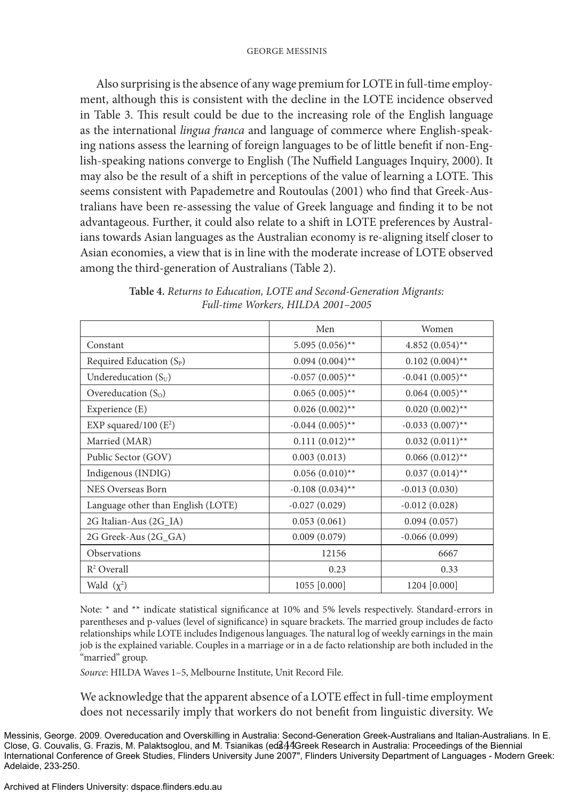Also surprising is the absence of any wage premium for LOTE in full-time employment, although this is consistent with the decline in the LOTE incidence observed in Table 3. This result could be due to the increasing role of the English language as the international *lingua franca* and language of commerce where English-speak ing nations assess the learning of foreign languages to be of little benefit if non-English-speaking nations converge to English (The Nuffield Languages Inquiry, 2000). It may also be the result of a shift in perceptions of the value of learning a LOTE. This seems consistent with Papademetre and Routoulas (2001) who find that Greek-Australians have been re-assessing the value of Greek language and finding it to be not advantageous. Further, it could also relate to a shift in LOTE preferences by Austral ians towards Asian languages as the Australian economy is re-aligning itself closer to Asian economies, a view that is in line with the moderate increase of LOTE observed among the third-generation of Australians (Table 2).

|                                                 | Men                | Women              |
|-------------------------------------------------|--------------------|--------------------|
| Constant                                        | 5.095 $(0.056)$ ** | 4.852 $(0.054)$ ** |
| Required Education $(S_P)$                      | $0.094(0.004)$ **  | $0.102(0.004)$ **  |
| Undereducation $(S_{\scriptscriptstyle\rm II})$ | $-0.057(0.005)$ ** | $-0.041(0.005)$ ** |
| Overeducation $(S0)$                            | $0.065(0.005)$ **  | $0.064(0.005)$ **  |
| Experience (E)                                  | $0.026(0.002)$ **  | $0.020(0.002)$ **  |
| EXP squared/100 $(E^2)$                         | $-0.044(0.005)$ ** | $-0.033(0.007)$ ** |
| Married (MAR)                                   | $0.111(0.012)$ **  | $0.032(0.011)$ **  |
| Public Sector (GOV)                             | 0.003(0.013)       | $0.066(0.012)$ **  |
| Indigenous (INDIG)                              | $0.056(0.010)$ **  | $0.037(0.014)$ **  |
| NES Overseas Born                               | $-0.108(0.034)$ ** | $-0.013(0.030)$    |
| Language other than English (LOTE)              | $-0.027(0.029)$    | $-0.012(0.028)$    |
| 2G Italian-Aus (2G_IA)                          | 0.053(0.061)       | 0.094(0.057)       |
| 2G Greek-Aus (2G_GA)                            | 0.009(0.079)       | $-0.066(0.099)$    |
| Observations                                    | 12156              | 6667               |
| $R^2$ Overall                                   | 0.23               | 0.33               |
| Wald $(\chi^2)$                                 | 1055 [0.000]       | 1204 [0.000]       |

**Table 4.** *Returns to Education, LOTE and Second-Generation Migrants: Full-time Workers, HILDA 2001–2005*

Note: \* and \*\* indicate statistical significance at 10% and 5% levels respectively. Standard-errors in parentheses and p-values (level of significance) in square brackets. The married group includes de facto relationships while LOTE includes Indigenous languages. The natural log of weekly earnings in the main job is the explained variable. Couples in a marriage or in a de facto relationship are both included in the "married" group.

*Source*: HILDA Waves 1–5, Melbourne Institute, Unit Record File.

We acknowledge that the apparent absence of a LOTE effect in full-time employment does not necessarily imply that workers do not benefit from linguistic diversity. We

Close, G. Couvalis, G. Frazis, M. Palaktsoglou, and M. Tsianikas (ed & 44Greek Research in Australia: Proceedings of the Biennial Messinis, George. 2009. Overeducation and Overskilling in Australia: Second-Generation Greek-Australians and Italian-Australians. In E. International Conference of Greek Studies, Flinders University June 2007", Flinders University Department of Languages - Modern Greek: Adelaide, 233-250.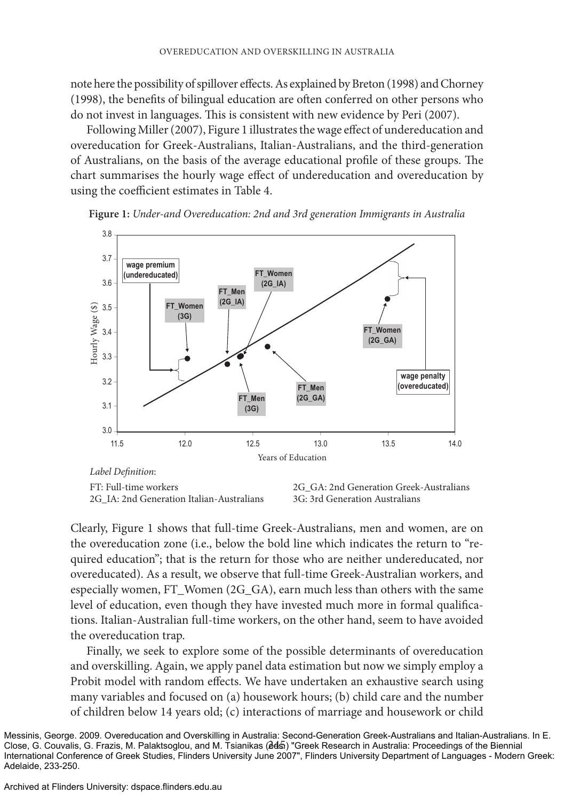note here the possibility of spillover effects. As explained by Breton (1998) and Chorney (1998), the benefits of bilingual education are often conferred on other persons who do not invest in languages. This is consistent with new evidence by Peri (2007).

Following Miller (2007), Figure 1 illustrates the wage effect of undereducation and overeducation for Greek-Australians, Italian-Australians, and the third-generation of Australians, on the basis of the average educational profile of these groups. The chart summarises the hourly wage effect of undereducation and overeducation by using the coefficient estimates in Table 4.





<sup>2</sup>G\_IA: 2nd Generation Italian-Australians 3G: 3rd Generation Australians



Clearly, Figure 1 shows that full-time Greek-Australians, men and women, are on the overeducation zone (i.e., below the bold line which indicates the return to "required education"; that is the return for those who are neither undereducated, nor overeducated). As a result, we observe that full-time Greek-Australian workers, and especially women, FT\_Women (2G\_GA), earn much less than others with the same level of education, even though they have invested much more in formal qualifications. Italian-Australian full-time workers, on the other hand, seem to have avoided the overeducation trap.

Finally, we seek to explore some of the possible determinants of overeducation and overskilling. Again, we apply panel data estimation but now we simply employ a Probit model with random effects. We have undertaken an exhaustive search using many variables and focused on (a) housework hours; (b) child care and the number of children below 14 years old; (c) interactions of marriage and housework or child

Close, G. Couvalis, G. Frazis, M. Palaktsoglou, and M. Tsianikas (eds.) "Greek Research in Australia: Proceedings of the Biennial Messinis, George. 2009. Overeducation and Overskilling in Australia: Second-Generation Greek-Australians and Italian-Australians. In E. International Conference of Greek Studies, Flinders University June 2007", Flinders University Department of Languages - Modern Greek: Adelaide, 233-250.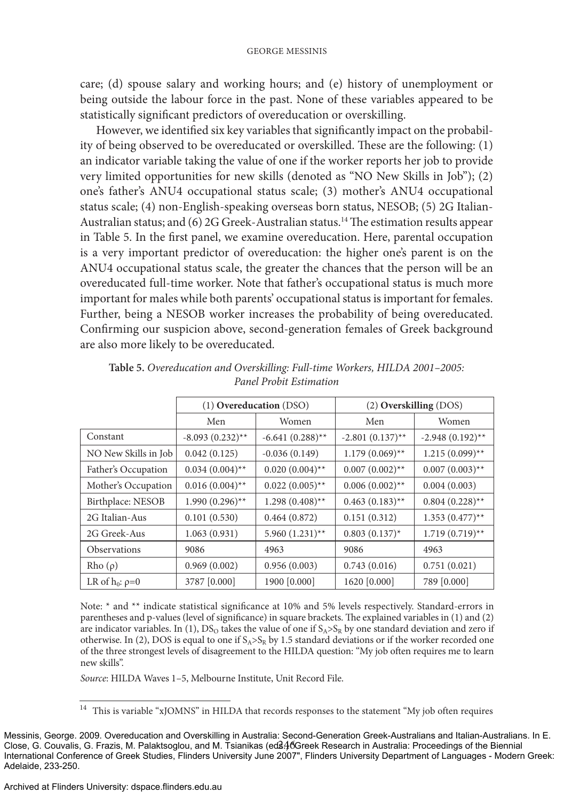care; (d) spouse salary and working hours; and (e) history of unemployment or being outside the labour force in the past. None of these variables appeared to be statistically significant predictors of overeducation or overskilling.

However, we identified six key variables that significantly impact on the probabil ity of being observed to be overeducated or overskilled. These are the following: (1) an indicator variable taking the value of one if the worker reports her job to provide very limited opportunities for new skills (denoted as "NO New Skills in Job"); (2) one's father's ANU4 occupational status scale; (3) mother's ANU4 occupational status scale; (4) non-English-speaking overseas born status, NESOB; (5) 2G Italian-Australian status; and (6) 2G Greek-Australian status.<sup>14</sup> The estimation results appear in Table 5. In the first panel, we examine overeducation. Here, parental occupation is a very important predictor of overeducation: the higher one's parent is on the ANU4 occupational status scale, the greater the chances that the person will be an overeducated full-time worker. Note that father's occupational status is much more important for males while both parents' occupational status is important for females. Further, being a NESOB worker increases the probability of being overeducated. Confirming our suspicion above, second-generation females of Greek background are also more likely to be overeducated.

|                          |                    | $(1)$ Overeducation $(DSO)$   | $(2)$ Overskilling (DOS)      |                    |  |
|--------------------------|--------------------|-------------------------------|-------------------------------|--------------------|--|
|                          | Men                | Women                         | Men                           | Women              |  |
| Constant                 | $-8.093(0.232)$ ** | $-6.641(0.288)$ **            | $-2.801(0.137)$ <sup>**</sup> | $-2.948(0.192)$ ** |  |
| NO New Skills in Job     | 0.042(0.125)       | $-0.036(0.149)$               | $1.179(0.069)$ **             | $1.215(0.099)$ **  |  |
| Father's Occupation      | $0.034(0.004)$ **  | $0.020(0.004)$ **             | $0.007(0.002)$ **             | $0.007(0.003)$ **  |  |
| Mother's Occupation      | $0.016(0.004)$ **  | $0.022(0.005)$ **             | $0.006(0.002)$ **             | 0.004(0.003)       |  |
| Birthplace: NESOB        | $1.990(0.296)$ **  | $1.298(0.408)$ **             | $0.463(0.183)$ **             | $0.804~(0.228)$ ** |  |
| 2G Italian-Aus           | 0.101(0.530)       | 0.464(0.872)                  | 0.151(0.312)                  | $1.353(0.477)$ **  |  |
| 2G Greek-Aus             | 1.063(0.931)       | 5.960 $(1.231)$ <sup>**</sup> | $0.803(0.137)^{*}$            | $1.719(0.719)$ **  |  |
| <b>Observations</b>      | 9086               | 4963                          | 9086                          | 4963               |  |
| $Rho(\rho)$              | 0.969(0.002)       | 0.956(0.003)                  | 0.743(0.016)                  | 0.751(0.021)       |  |
| LR of $h_0$ : $\rho = 0$ | 3787 [0.000]       | 1900 [0.000]                  | 1620 [0.000]                  | 789 [0.000]        |  |

**Table 5.** *Overeducation and Overskilling: Full-time Workers, HILDA 2001–2005: Panel Probit Estimation*

Note: \* and \*\* indicate statistical significance at 10% and 5% levels respectively. Standard-errors in parentheses and p-values (level of significance) in square brackets. The explained variables in (1) and (2) are indicator variables. In (1), DS<sub>O</sub> takes the value of one if  $S_A > S_R$  by one standard deviation and zero if otherwise. In (2), DOS is equal to one if  $S_A > S_R$  by 1.5 standard deviations or if the worker recorded one of the three strongest levels of disagreement to the HILDA question: "My job often requires me to learn new skills".

*Source*: HILDA Waves 1–5, Melbourne Institute, Unit Record File.

 $^{14}\,$  This is variable "xJOMNS" in HILDA that records responses to the statement "My job often requires

Close, G. Couvalis, G. Frazis, M. Palaktsoglou, and M. Tsianikas (ed & 46Greek Research in Australia: Proceedings of the Biennial Messinis, George. 2009. Overeducation and Overskilling in Australia: Second-Generation Greek-Australians and Italian-Australians. In E. International Conference of Greek Studies, Flinders University June 2007", Flinders University Department of Languages - Modern Greek: Adelaide, 233-250.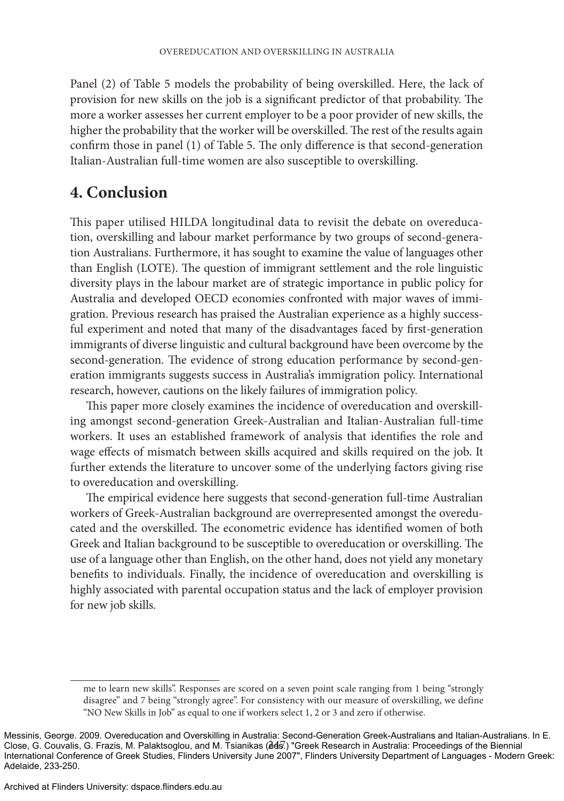Panel (2) of Table 5 models the probability of being overskilled. Here, the lack of provision for new skills on the job is a significant predictor of that probability. The more a worker assesses her current employer to be a poor provider of new skills, the higher the probability that the worker will be overskilled. The rest of the results again confirm those in panel (1) of Table 5. The only difference is that second-generation Italian-Australian full-time women are also susceptible to overskilling.

# **4. Conclusion**

This paper utilised HILDA longitudinal data to revisit the debate on overeducation, overskilling and labour market performance by two groups of second-generation Australians. Furthermore, it has sought to examine the value of languages other than English (LOTE). The question of immigrant settlement and the role linguistic diversity plays in the labour market are of strategic importance in public policy for Australia and developed OECD economies confronted with major waves of immigration. Previous research has praised the Australian experience as a highly successful experiment and noted that many of the disadvantages faced by first-generation immigrants of diverse linguistic and cultural background have been overcome by the second-generation. The evidence of strong education performance by second-generation immigrants suggests success in Australia's immigration policy. International research, however, cautions on the likely failures of immigration policy.

This paper more closely examines the incidence of overeducation and overskill ing amongst second-generation Greek-Australian and Italian-Australian full-time workers. It uses an established framework of analysis that identifies the role and wage effects of mismatch between skills acquired and skills required on the job. It further extends the literature to uncover some of the underlying factors giving rise to overeducation and overskilling.

The empirical evidence here suggests that second-generation full-time Australian workers of Greek-Australian background are overrepresented amongst the overeducated and the overskilled. The econometric evidence has identified women of both Greek and Italian background to be susceptible to overeducation or overskilling. The use of a language other than English, on the other hand, does not yield any monetary benefits to individuals. Finally, the incidence of overeducation and overskilling is highly associated with parental occupation status and the lack of employer provision for new job skills.

me to learn new skills". Responses are scored on a seven point scale ranging from 1 being "strongly disagree" and 7 being "strongly agree". For consistency with our measure of overskilling, we define "NO New Skills in Job" as equal to one if workers select 1, 2 or 3 and zero if otherwise.

Close, G. Couvalis, G. Frazis, M. Palaktsoglou, and M. Tsianikas (eds.) "Greek Research in Australia: Proceedings of the Biennial Messinis, George. 2009. Overeducation and Overskilling in Australia: Second-Generation Greek-Australians and Italian-Australians. In E. International Conference of Greek Studies, Flinders University June 2007", Flinders University Department of Languages - Modern Greek: Adelaide, 233-250.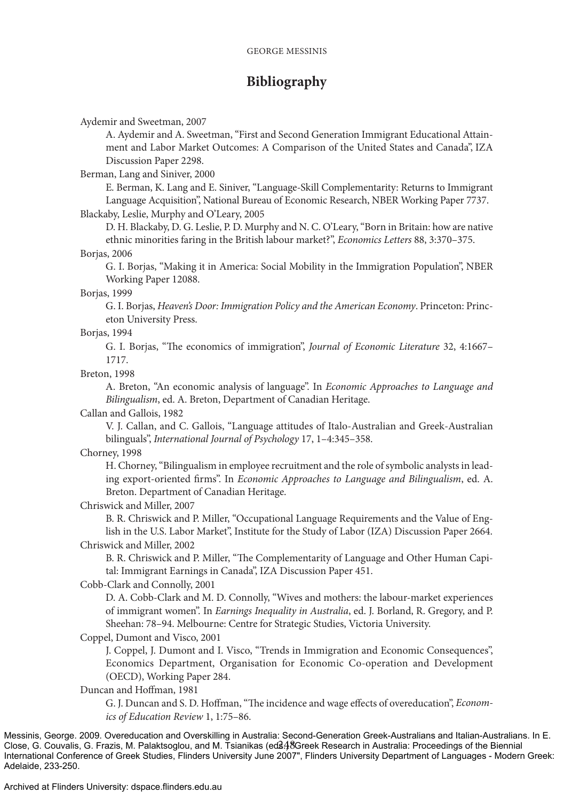# **Bibliography**

Aydemir and Sweetman, 2007

A. Aydemir and A. Sweetman, "First and Second Generation Immigrant Educational Attainment and Labor Market Outcomes: A Comparison of the United States and Canada", IZA Discussion Paper 2298.

Berman, Lang and Siniver, 2000

E. Berman, K. Lang and E. Siniver, "Language-Skill Complementarity: Returns to Immigrant Language Acquisition", National Bureau of Economic Research, NBER Working Paper 7737. Blackaby, Leslie, Murphy and O'Leary, 2005

D. H. Blackaby, D. G. Leslie, P. D. Murphy and N. C. O'Leary, "Born in Britain: how are native ethnic minorities faring in the British labour market?", *Economics Letters* 88, 3:370–375.

### Borjas, 2006

G. I. Borjas, "Making it in America: Social Mobility in the Immigration Population", NBER Working Paper 12088.

Borjas, 1999

G. I. Borjas, *Heaven's Door: Immigration Policy and the American Economy*. Princeton: Princeton University Press.

# Borjas, 1994

G. I. Borjas, "The economics of immigration", *Journal of Economic Literature* 32, 4:1667– 1717.

# Breton, 1998

A. Breton, "An economic analysis of language". In *Economic Approaches to Language and Bilingualism*, ed. A. Breton, Department of Canadian Heritage.

#### Callan and Gallois, 1982

V. J. Callan, and C. Gallois, "Language attitudes of Italo-Australian and Greek-Australian bilinguals", *International Journal of Psychology* 17, 1–4:345–358.

# Chorney, 1998

H. Chorney, "Bilingualism in employee recruitment and the role of symbolic analysts in lead ing export-oriented firms". In *Economic Approaches to Language and Bilingualism*, ed. A. Breton. Department of Canadian Heritage.

# Chriswick and Miller, 2007

B. R. Chriswick and P. Miller, "Occupational Language Requirements and the Value of English in the U.S. Labor Market", Institute for the Study of Labor (IZA) Discussion Paper 2664. Chriswick and Miller, 2002

B. R. Chriswick and P. Miller, "The Complementarity of Language and Other Human Capital: Immigrant Earnings in Canada", IZA Discussion Paper 451.

Cobb-Clark and Connolly, 2001

D. A. Cobb-Clark and M. D. Connolly, "Wives and mothers: the labour-market experiences of immigrant women". In *Earnings Inequality in Australia*, ed. J. Borland, R. Gregory, and P. Sheehan: 78–94. Melbourne: Centre for Strategic Studies, Victoria University.

Coppel, Dumont and Visco, 2001

J. Coppel, J. Dumont and I. Visco, "Trends in Immigration and Economic Consequences", Economics Department, Organisation for Economic Co-operation and Development (OECD), Working Paper 284.

# Duncan and Hoffman, 1981

G. J. Duncan and S. D. Hoffman, "The incidence and wage effects of overeducation", *Economics of Education Review* 1, 1:75–86.

Close, G. Couvalis, G. Frazis, M. Palaktsoglou, and M. Tsianikas (ed & & Bereek Research in Australia: Proceedings of the Biennial Messinis, George. 2009. Overeducation and Overskilling in Australia: Second-Generation Greek-Australians and Italian-Australians. In E. International Conference of Greek Studies, Flinders University June 2007", Flinders University Department of Languages - Modern Greek: Adelaide, 233-250.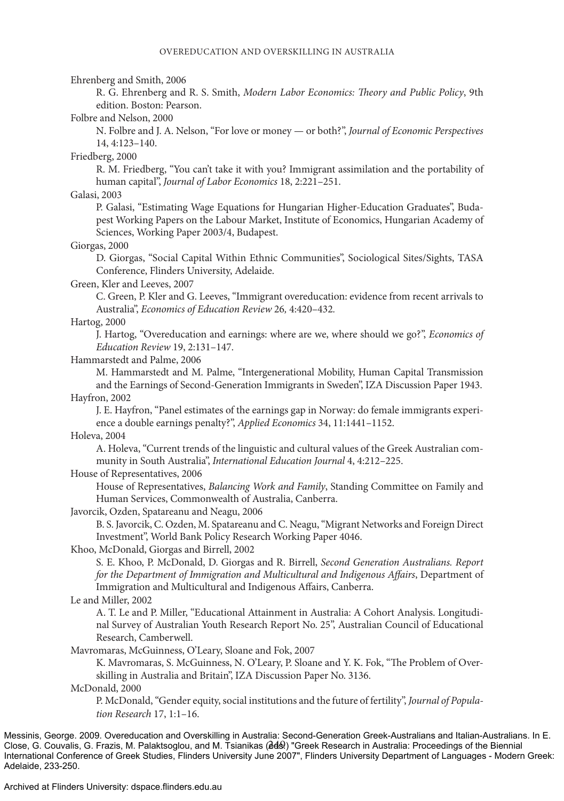#### Ehrenberg and Smith, 2006

R. G. Ehrenberg and R. S. Smith, *Modern Labor Economics: Theory and Public Policy*, 9th edition. Boston: Pearson.

### Folbre and Nelson, 2000

N. Folbre and J. A. Nelson, "For love or money — or both?", *Journal of Economic Perspectives* 14, 4:123–140.

# Friedberg, 2000

R. M. Friedberg, "You can't take it with you? Immigrant assimilation and the portability of human capital", *Journal of Labor Economics* 18, 2:221–251.

#### Galasi, 2003

P. Galasi, "Estimating Wage Equations for Hungarian Higher-Education Graduates", Budapest Working Papers on the Labour Market, Institute of Economics, Hungarian Academy of Sciences, Working Paper 2003/4, Budapest.

#### Giorgas, 2000

D. Giorgas, "Social Capital Within Ethnic Communities", Sociological Sites/Sights, TASA Conference, Flinders University, Adelaide.

# Green, Kler and Leeves, 2007

C. Green, P. Kler and G. Leeves, "Immigrant overeducation: evidence from recent arrivals to Australia", *Economics of Education Review* 26*,* 4:420–432*.*

#### Hartog, 2000

J. Hartog, "Overeducation and earnings: where are we, where should we go?", *Economics of Education Review* 19, 2:131–147.

#### Hammarstedt and Palme, 2006

M. Hammarstedt and M. Palme, "Intergenerational Mobility, Human Capital Transmission and the Earnings of Second-Generation Immigrants in Sweden", IZA Discussion Paper 1943. Hayfron, 2002

J. E. Hayfron, "Panel estimates of the earnings gap in Norway: do female immigrants experience a double earnings penalty?", *Applied Economics* 34, 11:1441–1152.

# Holeva, 2004

A. Holeva, "Current trends of the linguistic and cultural values of the Greek Australian community in South Australia", *International Education Journal* 4, 4:212–225.

#### House of Representatives, 2006

House of Representatives, *Balancing Work and Family*, Standing Committee on Family and Human Services, Commonwealth of Australia, Canberra.

#### Javorcik, Ozden, Spatareanu and Neagu, 2006

B. S. Javorcik, C. Ozden, M. Spatareanu and C. Neagu, "Migrant Networks and Foreign Direct Investment", World Bank Policy Research Working Paper 4046.

### Khoo, McDonald, Giorgas and Birrell, 2002

S. E. Khoo, P. McDonald, D. Giorgas and R. Birrell, *Second Generation Australians. Report for the Department of Immigration and Multicultural and Indigenous Affairs*, Department of Immigration and Multicultural and Indigenous Affairs, Canberra.

#### Le and Miller, 2002

A. T. Le and P. Miller, "Educational Attainment in Australia: A Cohort Analysis. Longitudinal Survey of Australian Youth Research Report No. 25", Australian Council of Educational Research, Camberwell.

Mavromaras, McGuinness, O'Leary, Sloane and Fok, 2007

K. Mavromaras, S. McGuinness, N. O'Leary, P. Sloane and Y. K. Fok, "The Problem of Overskilling in Australia and Britain", IZA Discussion Paper No. 3136.

# McDonald, 2000

P. McDonald, "Gender equity, social institutions and the future of fertility", *Journal of Population Research* 17, 1:1–16.

Close, G. Couvalis, G. Frazis, M. Palaktsoglou, and M. Tsianikas (eds) "Greek Research in Australia: Proceedings of the Biennial Messinis, George. 2009. Overeducation and Overskilling in Australia: Second-Generation Greek-Australians and Italian-Australians. In E. International Conference of Greek Studies, Flinders University June 2007", Flinders University Department of Languages - Modern Greek: Adelaide, 233-250.